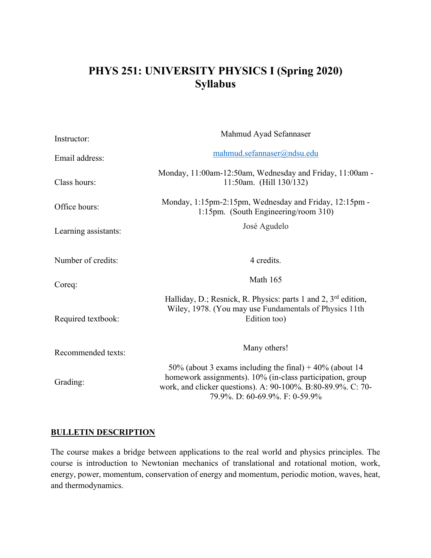# **PHYS 251: UNIVERSITY PHYSICS I (Spring 2020) Syllabus**

| Instructor:          | Mahmud Ayad Sefannaser                                                                                                                                                                                                  |
|----------------------|-------------------------------------------------------------------------------------------------------------------------------------------------------------------------------------------------------------------------|
| Email address:       | mahmud.sefannaser@ndsu.edu                                                                                                                                                                                              |
| Class hours:         | Monday, 11:00am-12:50am, Wednesday and Friday, 11:00am -<br>11:50am. (Hill 130/132)                                                                                                                                     |
| Office hours:        | Monday, 1:15pm-2:15pm, Wednesday and Friday, 12:15pm -<br>1:15pm. (South Engineering/room 310)                                                                                                                          |
| Learning assistants: | José Agudelo                                                                                                                                                                                                            |
| Number of credits:   | 4 credits.                                                                                                                                                                                                              |
| Coreq:               | Math 165                                                                                                                                                                                                                |
| Required textbook:   | Halliday, D.; Resnick, R. Physics: parts 1 and 2, $3rd$ edition,<br>Wiley, 1978. (You may use Fundamentals of Physics 11th<br>Edition too)                                                                              |
| Recommended texts:   | Many others!                                                                                                                                                                                                            |
| Grading:             | 50% (about 3 exams including the final) $+40%$ (about 14<br>homework assignments). 10% (in-class participation, group<br>work, and clicker questions). A: 90-100%. B:80-89.9%. C: 70-<br>79.9%. D: 60-69.9%. F: 0-59.9% |

## **BULLETIN DESCRIPTION**

The course makes a bridge between applications to the real world and physics principles. The course is introduction to Newtonian mechanics of translational and rotational motion, work, energy, power, momentum, conservation of energy and momentum, periodic motion, waves, heat, and thermodynamics.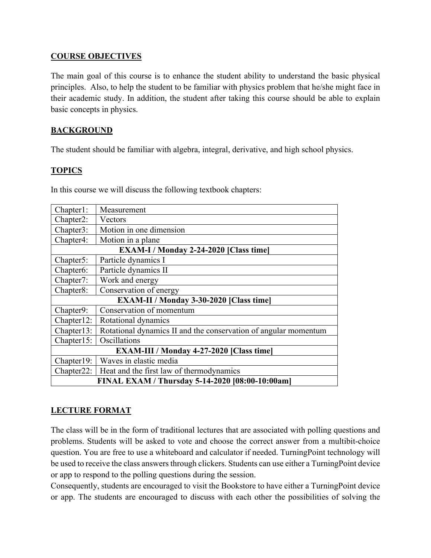#### **COURSE OBJECTIVES**

The main goal of this course is to enhance the student ability to understand the basic physical principles. Also, to help the student to be familiar with physics problem that he/she might face in their academic study. In addition, the student after taking this course should be able to explain basic concepts in physics.

## **BACKGROUND**

The student should be familiar with algebra, integral, derivative, and high school physics.

## **TOPICS**

In this course we will discuss the following textbook chapters:

| Chapter1:                                       | Measurement                                                     |  |
|-------------------------------------------------|-----------------------------------------------------------------|--|
| Chapter2:                                       | Vectors                                                         |  |
| Chapter3:                                       | Motion in one dimension                                         |  |
| Chapter4:                                       | Motion in a plane                                               |  |
| <b>EXAM-I</b> / Monday 2-24-2020 [Class time]   |                                                                 |  |
| Chapter5:                                       | Particle dynamics I                                             |  |
| Chapter <sub>6</sub> :                          | Particle dynamics II                                            |  |
| Chapter7:                                       | Work and energy                                                 |  |
| Chapter8:                                       | Conservation of energy                                          |  |
| EXAM-II / Monday 3-30-2020 [Class time]         |                                                                 |  |
| Chapter9:                                       | Conservation of momentum                                        |  |
| Chapter12:                                      | Rotational dynamics                                             |  |
| $Chapter 13$ :                                  | Rotational dynamics II and the conservation of angular momentum |  |
| Chapter15:                                      | Oscillations                                                    |  |
| EXAM-III / Monday 4-27-2020 [Class time]        |                                                                 |  |
| Chapter 19:                                     | Waves in elastic media                                          |  |
|                                                 | Chapter 22:   Heat and the first law of thermodynamics          |  |
| FINAL EXAM / Thursday 5-14-2020 [08:00-10:00am] |                                                                 |  |

# **LECTURE FORMAT**

The class will be in the form of traditional lectures that are associated with polling questions and problems. Students will be asked to vote and choose the correct answer from a multibit-choice question. You are free to use a whiteboard and calculator if needed. TurningPoint technology will be used to receive the class answers through clickers. Students can use either a TurningPoint device or app to respond to the polling questions during the session.

Consequently, students are encouraged to visit the Bookstore to have either a TurningPoint device or app. The students are encouraged to discuss with each other the possibilities of solving the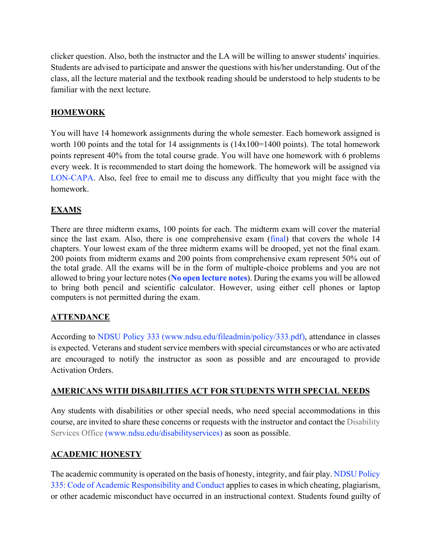clicker question. Also, both the instructor and the LA will be willing to answer students' inquiries. Students are advised to participate and answer the questions with his/her understanding. Out of the class, all the lecture material and the textbook reading should be understood to help students to be familiar with the next lecture.

## **HOMEWORK**

You will have 14 homework assignments during the whole semester. Each homework assigned is worth 100 points and the total for 14 assignments is  $(14x100=1400)$  points). The total homework points represent 40% from the total course grade. You will have one homework with 6 problems every week. It is recommended to start doing the homework. The homework will be assigned via LON-CAPA. Also, feel free to email me to discuss any difficulty that you might face with the homework.

# **EXAMS**

There are three midterm exams, 100 points for each. The midterm exam will cover the material since the last exam. Also, there is one comprehensive exam (final) that covers the whole 14 chapters. Your lowest exam of the three midterm exams will be drooped, yet not the final exam. 200 points from midterm exams and 200 points from comprehensive exam represent 50% out of the total grade. All the exams will be in the form of multiple-choice problems and you are not allowed to bring your lecture notes (**No open lecture notes**). During the exams you will be allowed to bring both pencil and scientific calculator. However, using either cell phones or laptop computers is not permitted during the exam.

# **ATTENDANCE**

According to NDSU Policy 333 (www.ndsu.edu/fileadmin/policy/333.pdf), attendance in classes is expected. Veterans and student service members with special circumstances or who are activated are encouraged to notify the instructor as soon as possible and are encouraged to provide Activation Orders.

#### **AMERICANS WITH DISABILITIES ACT FOR STUDENTS WITH SPECIAL NEEDS**

Any students with disabilities or other special needs, who need special accommodations in this course, are invited to share these concerns or requests with the instructor and contact the Disability Services Office (www.ndsu.edu/disabilityservices) as soon as possible.

#### **ACADEMIC HONESTY**

The academic community is operated on the basis of honesty, integrity, and fair play. NDSU Policy 335: Code of Academic Responsibility and Conduct applies to cases in which cheating, plagiarism, or other academic misconduct have occurred in an instructional context. Students found guilty of